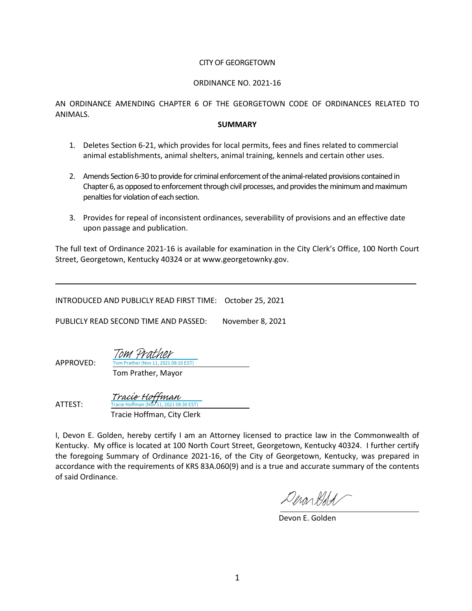## CITY OF GEORGETOWN

## ORDINANCE NO. 2021-16

AN ORDINANCE AMENDING CHAPTER 6 OF THE GEORGETOWN CODE OF ORDINANCES RELATED TO ANIMALS.

#### **SUMMARY**

- 1. Deletes Section 6-21, which provides for local permits, fees and fines related to commercial animal establishments, animal shelters, animal training, kennels and certain other uses.
- 2. Amends Section 6-30 to provide for criminal enforcement of the animal-related provisions contained in Chapter 6, as opposed to enforcement through civil processes, and provides the minimum and maximum penalties for violation of each section.
- 3. Provides for repeal of inconsistent ordinances, severability of provisions and an effective date upon passage and publication.

The full text of Ordinance 2021-16 is available for examination in the City Clerk's Office, 100 North Court Street, Georgetown, Kentucky 40324 or at www.georgetownky.gov.

INTRODUCED AND PUBLICLY READ FIRST TIME: October 25, 2021

PUBLICLY READ SECOND TIME AND PASSED: November 8, 2021

Prather (Nov 11, 2021 08:10 EST) [Tom Prather](https://na1.documents.adobe.com/verifier?tx=CBJCHBCAABAAol3i81IgbT5GFiiHm6HqRfEBZSQfAQk0)

APPROVED:

Tom Prather, Mayor

ATTEST: Tracie Hoffman, City Clerk Tracie Hoffman (Nov 11, 2021 08:30 EST) [Tracie Hoffman](https://na1.documents.adobe.com/verifier?tx=CBJCHBCAABAAol3i81IgbT5GFiiHm6HqRfEBZSQfAQk0)

I, Devon E. Golden, hereby certify I am an Attorney licensed to practice law in the Commonwealth of Kentucky. My office is located at 100 North Court Street, Georgetown, Kentucky 40324. I further certify the foregoing Summary of Ordinance 2021-16, of the City of Georgetown, Kentucky, was prepared in accordance with the requirements of KRS 83A.060(9) and is a true and accurate summary of the contents of said Ordinance.

Denarddd

Devon E. Golden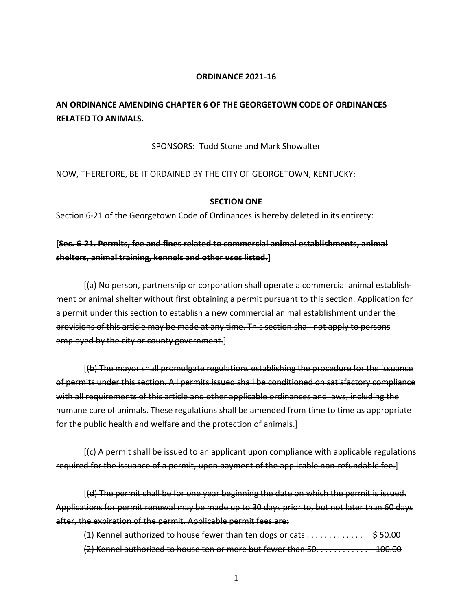#### **ORDINANCE 2021-16**

# **AN ORDINANCE AMENDING CHAPTER 6 OF THE GEORGETOWN CODE OF ORDINANCES RELATED TO ANIMALS.**

## SPONSORS: Todd Stone and Mark Showalter

# NOW, THEREFORE, BE IT ORDAINED BY THE CITY OF GEORGETOWN, KENTUCKY:

## **SECTION ONE**

Section 6-21 of the Georgetown Code of Ordinances is hereby deleted in its entirety:

# **[Sec. 6-21. Permits, fee and fines related to commercial animal establishments, animal shelters, animal training, kennels and other uses listed.]**

[(a) No person, partnership or corporation shall operate a commercial animal establishment or animal shelter without first obtaining a permit pursuant to this section. Application for a permit under this section to establish a new commercial animal establishment under the provisions of this article may be made at any time. This section shall not apply to persons employed by the city or county government.]

[(b) The mayor shall promulgate regulations establishing the procedure for the issuance of permits under this section. All permits issued shall be conditioned on satisfactory compliance with all requirements of this article and other applicable ordinances and laws, including the humane care of animals. These regulations shall be amended from time to time as appropriate for the public health and welfare and the protection of animals.]

[(c) A permit shall be issued to an applicant upon compliance with applicable regulations required for the issuance of a permit, upon payment of the applicable non-refundable fee.]

[(d) The permit shall be for one year beginning the date on which the permit is issued. Applications for permit renewal may be made up to 30 days prior to, but not later than 60 days after, the expiration of the permit. Applicable permit fees are:

 $(1)$  Kennel authorized to house fewer than ten dogs or cats  $\dots\dots\dots\dots$  \$50.00 (2) Kennel authorized to house ten or more but fewer than 50. . . . . . . . . . . . 100.00

1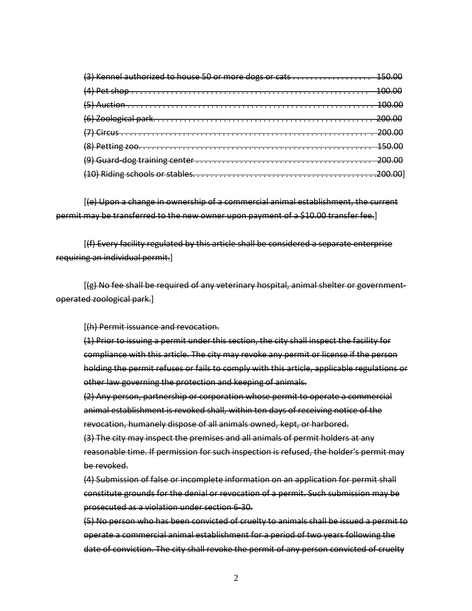| (3) Kennel authorized to house 50 or more dogs or cats  150.00 |  |
|----------------------------------------------------------------|--|
|                                                                |  |
|                                                                |  |
|                                                                |  |
|                                                                |  |
|                                                                |  |
|                                                                |  |
|                                                                |  |

[(e) Upon a change in ownership of a commercial animal establishment, the current permit may be transferred to the new owner upon payment of a \$10.00 transfer fee.]

[(f) Every facility regulated by this article shall be considered a separate enterprise requiring an individual permit.]

[(g) No fee shall be required of any veterinary hospital, animal shelter or governmentoperated zoological park.]

[(h) Permit issuance and revocation.

(1) Prior to issuing a permit under this section, the city shall inspect the facility for compliance with this article. The city may revoke any permit or license if the person holding the permit refuses or fails to comply with this article, applicable regulations or other law governing the protection and keeping of animals.

(2) Any person, partnership or corporation whose permit to operate a commercial animal establishment is revoked shall, within ten days of receiving notice of the revocation, humanely dispose of all animals owned, kept, or harbored.

(3) The city may inspect the premises and all animals of permit holders at any reasonable time. If permission for such inspection is refused, the holder's permit may be revoked.

(4) Submission of false or incomplete information on an application for permit shall constitute grounds for the denial or revocation of a permit. Such submission may be prosecuted as a violation under section 6-30.

(5) No person who has been convicted of cruelty to animals shall be issued a permit to operate a commercial animal establishment for a period of two years following the date of conviction. The city shall revoke the permit of any person convicted of cruelty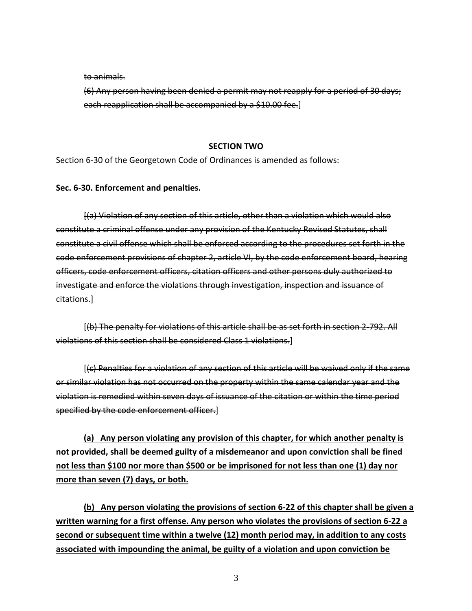to animals.

(6) Any person having been denied a permit may not reapply for a period of 30 days; each reapplication shall be accompanied by a \$10.00 fee.]

# **SECTION TWO**

Section 6-30 of the Georgetown Code of Ordinances is amended as follows:

**Sec. 6-30. Enforcement and penalties.**

[(a) Violation of any section of this article, other than a violation which would also constitute a criminal offense under any provision of the Kentucky Revised Statutes, shall constitute a civil offense which shall be enforced according to the procedures set forth in the code enforcement provisions of chapter 2, article VI, by the code enforcement board, hearing officers, code enforcement officers, citation officers and other persons duly authorized to investigate and enforce the violations through investigation, inspection and issuance of citations.]

[(b) The penalty for violations of this article shall be as set forth in section 2-792. All violations of this section shall be considered Class 1 violations.]

[(c) Penalties for a violation of any section of this article will be waived only if the same or similar violation has not occurred on the property within the same calendar year and the violation is remedied within seven days of issuance of the citation or within the time period specified by the code enforcement officer.]

**(a) Any person violating any provision of this chapter, for which another penalty is not provided, shall be deemed guilty of a misdemeanor and upon conviction shall be fined not less than \$100 nor more than \$500 or be imprisoned for not less than one (1) day nor more than seven (7) days, or both.**

**(b) Any person violating the provisions of section 6-22 of this chapter shall be given a written warning for a first offense. Any person who violates the provisions of section 6-22 a second or subsequent time within a twelve (12) month period may, in addition to any costs associated with impounding the animal, be guilty of a violation and upon conviction be** 

3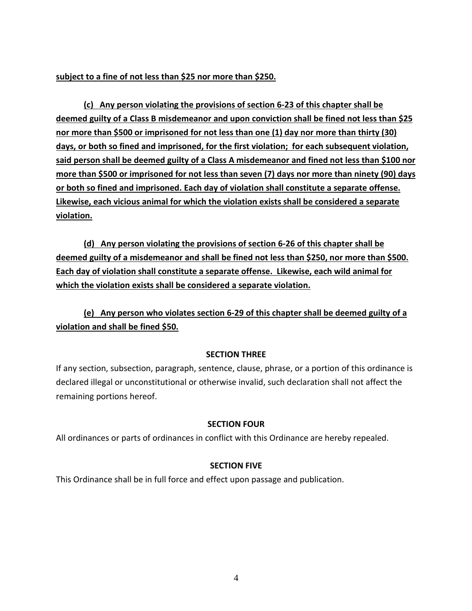**subject to a fine of not less than \$25 nor more than \$250.** 

**(c) Any person violating the provisions of section 6-23 of this chapter shall be deemed guilty of a Class B misdemeanor and upon conviction shall be fined not less than \$25 nor more than \$500 or imprisoned for not less than one (1) day nor more than thirty (30) days, or both so fined and imprisoned, for the first violation; for each subsequent violation, said person shall be deemed guilty of a Class A misdemeanor and fined not less than \$100 nor more than \$500 or imprisoned for not less than seven (7) days nor more than ninety (90) days or both so fined and imprisoned. Each day of violation shall constitute a separate offense. Likewise, each vicious animal for which the violation exists shall be considered a separate violation.**

**(d) Any person violating the provisions of section 6-26 of this chapter shall be deemed guilty of a misdemeanor and shall be fined not less than \$250, nor more than \$500. Each day of violation shall constitute a separate offense. Likewise, each wild animal for which the violation exists shall be considered a separate violation.**

**(e) Any person who violates section 6-29 of this chapter shall be deemed guilty of a violation and shall be fined \$50.**

# **SECTION THREE**

If any section, subsection, paragraph, sentence, clause, phrase, or a portion of this ordinance is declared illegal or unconstitutional or otherwise invalid, such declaration shall not affect the remaining portions hereof.

# **SECTION FOUR**

All ordinances or parts of ordinances in conflict with this Ordinance are hereby repealed.

# **SECTION FIVE**

This Ordinance shall be in full force and effect upon passage and publication.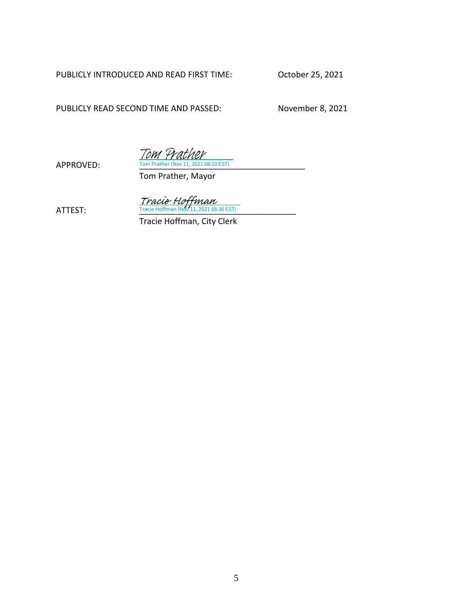PUBLICLY INTRODUCED AND READ FIRST TIME: October 25, 2021

PUBLICLY READ SECOND TIME AND PASSED: November 8, 2021

Tom Prather

APPROVED: Tom Prather (Nov 11, 2021 08:10 EST)

Tom Prather, Mayor

 $Tracie Hoffman$ <br>ATTEST: Tracie Hoffman (Nov 11, 2021 08:30 EST)

Tracie Hoffman, City Clerk